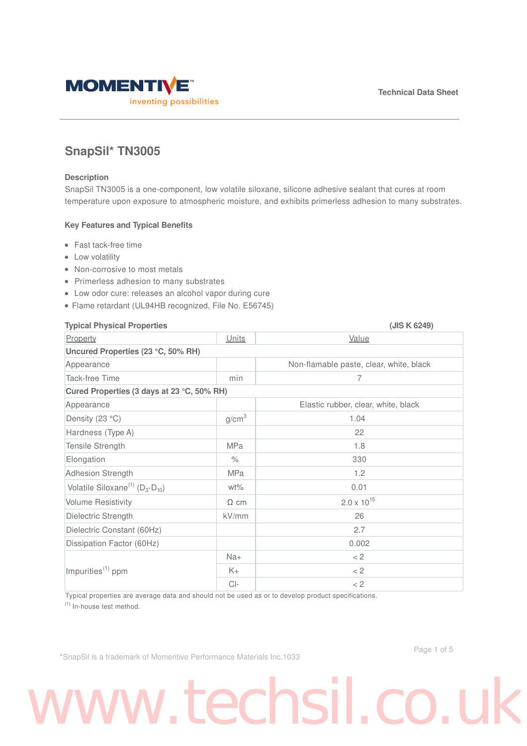

### **SnapSil\* TN3005**

### **Description**

SnapSil TN3005 is a one-component, low volatile siloxane, silicone adhesive sealant that cures at room temperature upon exposure to atmospheric moisture, and exhibits primerless adhesion to many substrates.

### **Key Features and Typical Benefits**

- Fast tack-free time
- Low volatility
- Non-corrosive to most metals
- Primerless adhesion to many substrates
- Low odor cure: releases an alcohol vapor during cure
- Flame retardant (UL94HB recognized, File No. E56745)

### **Typical Physical Properties (JIS K 6249)**

| 19 PICAI I II9 SICAI I IUPCILICS                |                   | U                                       |  |
|-------------------------------------------------|-------------------|-----------------------------------------|--|
| Property                                        | Units             | Value                                   |  |
| Uncured Properties (23 °C, 50% RH)              |                   |                                         |  |
| Appearance                                      |                   | Non-flamable paste, clear, white, black |  |
| <b>Tack-free Time</b>                           | min               | 7                                       |  |
| Cured Properties (3 days at 23 °C, 50% RH)      |                   |                                         |  |
| Appearance                                      |                   | Elastic rubber, clear, white, black     |  |
| Density (23 °C)                                 | g/cm <sup>3</sup> | 1.04                                    |  |
| Hardness (Type A)                               |                   | 22                                      |  |
| Tensile Strength                                | MPa               | 1.8                                     |  |
| Elongation                                      | $\%$              | 330                                     |  |
| <b>Adhesion Strength</b>                        | MPa               | 1.2                                     |  |
| Volatile Siloxane <sup>(1)</sup> $(D_3-D_{10})$ | wt%               | 0.01                                    |  |
| <b>Volume Resistivity</b>                       | $\Omega$ cm       | $2.0 \times 10^{15}$                    |  |
| Dielectric Strength                             | kV/mm             | 26                                      |  |
| Dielectric Constant (60Hz)                      |                   | 2.7                                     |  |
| Dissipation Factor (60Hz)                       |                   | 0.002                                   |  |
| Impurities <sup>(1)</sup> ppm                   | $Na+$             | < 2                                     |  |
|                                                 | K+                | < 2                                     |  |
|                                                 | $Cl-$             | $<$ 2                                   |  |

Typical properties are average data and should not be used as or to develop product specifications.

(1) In-house test method.

\*SnapSil is a trademark of Momentive Performance Materials Inc.1033

### ww.techsil.co.u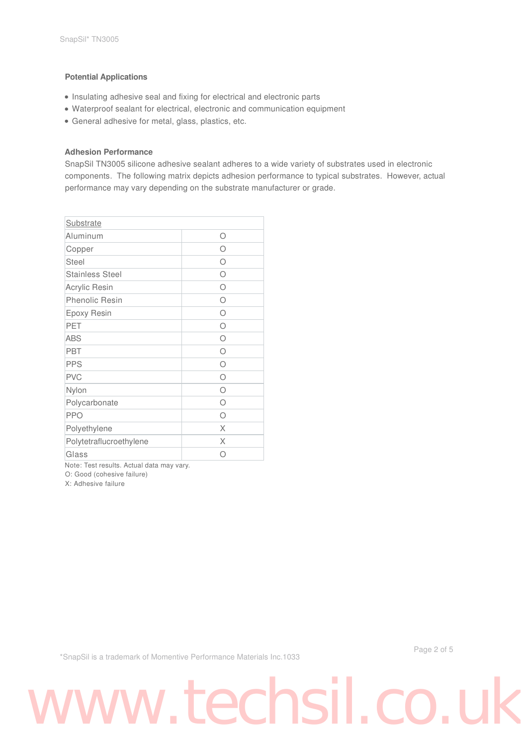### **Potential Applications**

- Insulating adhesive seal and fixing for electrical and electronic parts
- Waterproof sealant for electrical, electronic and communication equipment
- General adhesive for metal, glass, plastics, etc.

### **Adhesion Performance**

SnapSil TN3005 silicone adhesive sealant adheres to a wide variety of substrates used in electronic components. The following matrix depicts adhesion performance to typical substrates. However, actual performance may vary depending on the substrate manufacturer or grade.

| <b>Substrate</b>        |           |
|-------------------------|-----------|
| Aluminum                | ∩         |
| Copper                  | ∩         |
| <b>Steel</b>            | ∩         |
| <b>Stainless Steel</b>  | ∩         |
| Acrylic Resin           | ∩         |
| <b>Phenolic Resin</b>   | $\bigcap$ |
| Epoxy Resin             | $\bigcap$ |
| PET                     | ∩         |
| <b>ABS</b>              | $\bigcap$ |
| <b>PBT</b>              | ∩         |
| <b>PPS</b>              | ∩         |
| <b>PVC</b>              | ∩         |
| Nylon                   | ∩         |
| Polycarbonate           | ∩         |
| <b>PPO</b>              | ∩         |
| Polyethylene            | X         |
| Polytetraflucroethylene | X         |
| Glass                   |           |

Note: Test results. Actual data may vary.

O: Good (cohesive failure)

X: Adhesive failure

\*SnapSil is a trademark of Momentive Performance Materials Inc.1033

Page 2 of 5

# www.techsil.co.u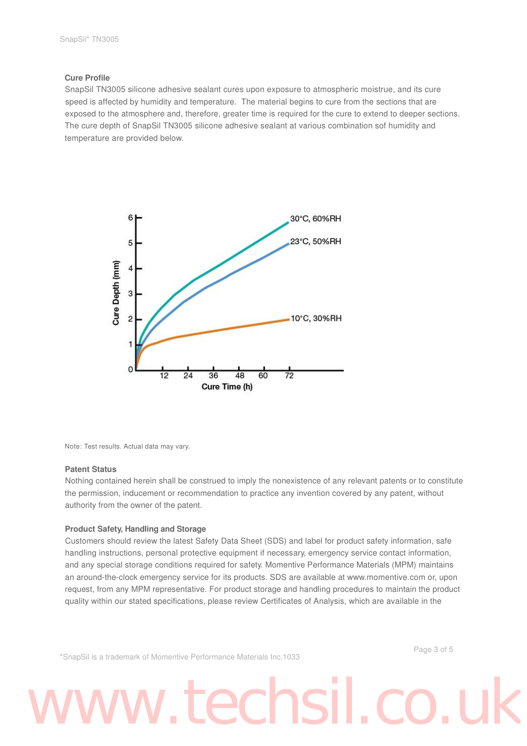### **Cure Profile**

SnapSil TN3005 silicone adhesive sealant cures upon exposure to atmospheric moistrue, and its cure speed is affected by humidity and temperature. The material begins to cure from the sections that are exposed to the atmosphere and, therefore, greater time is required for the cure to extend to deeper sections. The cure depth of SnapSil TN3005 silicone adhesive sealant at various combination sof humidity and temperature are provided below.



Note: Test results. Actual data may vary.

### **Patent Status**

Nothing contained herein shall be construed to imply the nonexistence of any relevant patents or to constitute the permission, inducement or recommendation to practice any invention covered by any patent, without authority from the owner of the patent.

### **Product Safety, Handling and Storage**

Customers should review the latest Safety Data Sheet (SDS) and label for product safety information, safe handling instructions, personal protective equipment if necessary, emergency service contact information, and any special storage conditions required for safety. Momentive Performance Materials (MPM) maintains an around-the-clock emergency service for its products. SDS are available at www.momentive.com or, upon request, from any MPM representative. For product storage and handling procedures to maintain the product quality within our stated specifications, please review Certificates of Analysis, which are available in the

\*SnapSil is a trademark of Momentive Performance Materials Inc.1033

Page 3 of 5

### ww.techsil.co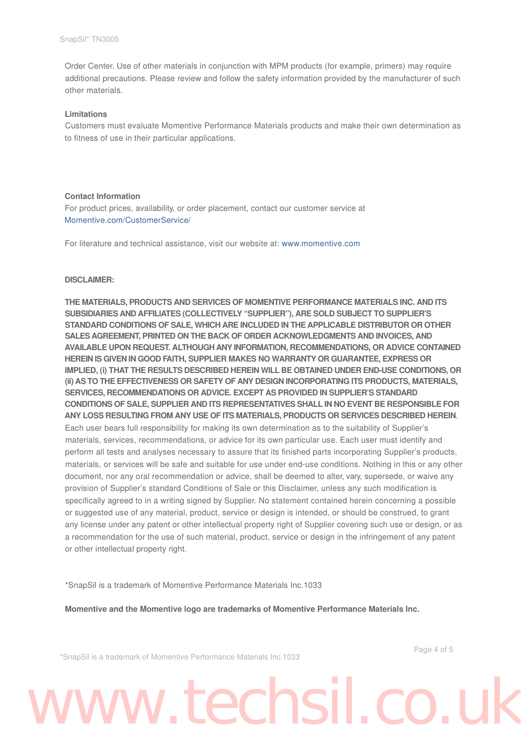Order Center. Use of other materials in conjunction with MPM products (for example, primers) may require additional precautions. Please review and follow the safety information provided by the manufacturer of such other materials.

### **Limitations**

Customers must evaluate Momentive Performance Materials products and make their own determination as to fitness of use in their particular applications.

### **Contact Information**

For product prices, availability, or order placement, contact our customer service at Momentive.com/CustomerService/

For literature and technical assistance, visit our website at: www.momentive.com

### **DISCLAIMER:**

**THE MATERIALS, PRODUCTS AND SERVICES OF MOMENTIVE PERFORMANCE MATERIALS INC. AND ITS SUBSIDIARIES AND AFFILIATES (COLLECTIVELY "SUPPLIER"), ARE SOLD SUBJECT TO SUPPLIER'S STANDARD CONDITIONS OF SALE, WHICH ARE INCLUDED IN THE APPLICABLE DISTRIBUTOR OR OTHER SALES AGREEMENT, PRINTED ON THE BACK OF ORDER ACKNOWLEDGMENTS AND INVOICES, AND AVAILABLE UPON REQUEST. ALTHOUGH ANY INFORMATION, RECOMMENDATIONS, OR ADVICE CONTAINED HEREIN IS GIVEN IN GOOD FAITH, SUPPLIER MAKES NO WARRANTY OR GUARANTEE, EXPRESS OR IMPLIED, (i) THAT THE RESULTS DESCRIBED HEREIN WILL BE OBTAINED UNDER END-USE CONDITIONS, OR (ii) AS TO THE EFFECTIVENESS OR SAFETY OF ANY DESIGN INCORPORATING ITS PRODUCTS, MATERIALS, SERVICES, RECOMMENDATIONS OR ADVICE. EXCEPT AS PROVIDED IN SUPPLIER'S STANDARD CONDITIONS OF SALE, SUPPLIER AND ITS REPRESENTATIVES SHALL IN NO EVENT BE RESPONSIBLE FOR ANY LOSS RESULTING FROM ANY USE OF ITS MATERIALS, PRODUCTS OR SERVICES DESCRIBED HEREIN**. Each user bears full responsibility for making its own determination as to the suitability of Supplier's materials, services, recommendations, or advice for its own particular use. Each user must identify and perform all tests and analyses necessary to assure that its finished parts incorporating Supplier's products, materials, or services will be safe and suitable for use under end-use conditions. Nothing in this or any other document, nor any oral recommendation or advice, shall be deemed to alter, vary, supersede, or waive any provision of Supplier's standard Conditions of Sale or this Disclaimer, unless any such modification is specifically agreed to in a writing signed by Supplier. No statement contained herein concerning a possible or suggested use of any material, product, service or design is intended, or should be construed, to grant any license under any patent or other intellectual property right of Supplier covering such use or design, or as a recommendation for the use of such material, product, service or design in the infringement of any patent or other intellectual property right.

\*SnapSil is a trademark of Momentive Performance Materials Inc.1033

**Momentive and the Momentive logo are trademarks of Momentive Performance Materials Inc.**

\*SnapSil is a trademark of Momentive Performance Materials Inc.1033

Page 4 of 5

# www.techsil.co.u